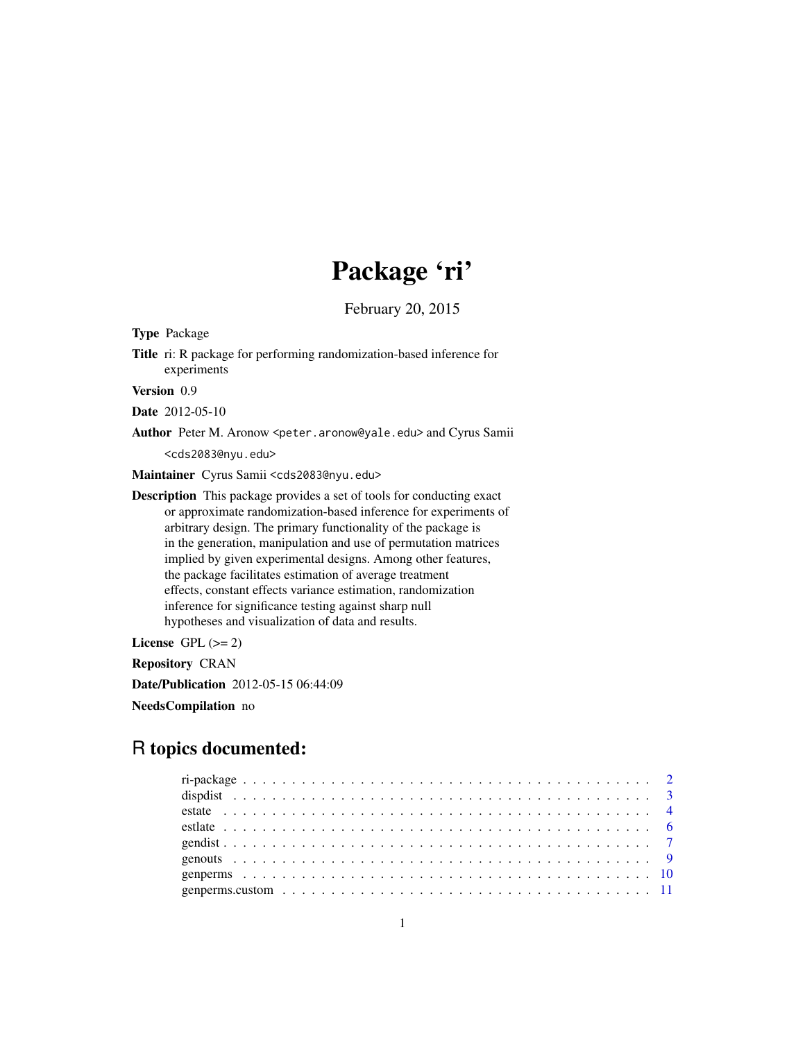# Package 'ri'

February 20, 2015

Type Package

Title ri: R package for performing randomization-based inference for experiments

Version 0.9

Date 2012-05-10

Author Peter M. Aronow <peter.aronow@yale.edu> and Cyrus Samii

<cds2083@nyu.edu>

Maintainer Cyrus Samii <cds2083@nyu.edu>

Description This package provides a set of tools for conducting exact or approximate randomization-based inference for experiments of arbitrary design. The primary functionality of the package is in the generation, manipulation and use of permutation matrices implied by given experimental designs. Among other features, the package facilitates estimation of average treatment effects, constant effects variance estimation, randomization inference for significance testing against sharp null hypotheses and visualization of data and results.

License GPL  $(>= 2)$ 

Repository CRAN

Date/Publication 2012-05-15 06:44:09

NeedsCompilation no

# R topics documented: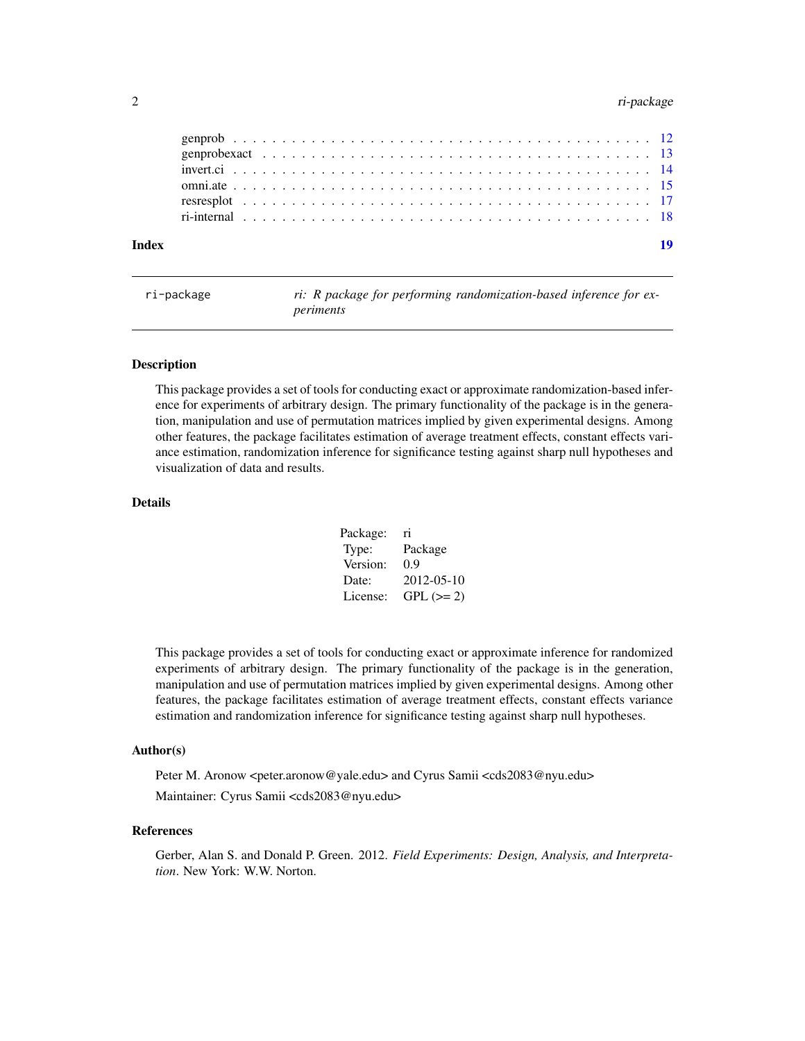# <span id="page-1-0"></span>2 ri-package

| Index |  |  |  |  |  |  |  |  |  |  |  |  |  |  |  |  |  |  |  |
|-------|--|--|--|--|--|--|--|--|--|--|--|--|--|--|--|--|--|--|--|
|       |  |  |  |  |  |  |  |  |  |  |  |  |  |  |  |  |  |  |  |
|       |  |  |  |  |  |  |  |  |  |  |  |  |  |  |  |  |  |  |  |
|       |  |  |  |  |  |  |  |  |  |  |  |  |  |  |  |  |  |  |  |
|       |  |  |  |  |  |  |  |  |  |  |  |  |  |  |  |  |  |  |  |
|       |  |  |  |  |  |  |  |  |  |  |  |  |  |  |  |  |  |  |  |
|       |  |  |  |  |  |  |  |  |  |  |  |  |  |  |  |  |  |  |  |

ri-package *ri: R package for performing randomization-based inference for experiments*

### <span id="page-1-1"></span>Description

This package provides a set of tools for conducting exact or approximate randomization-based inference for experiments of arbitrary design. The primary functionality of the package is in the generation, manipulation and use of permutation matrices implied by given experimental designs. Among other features, the package facilitates estimation of average treatment effects, constant effects variance estimation, randomization inference for significance testing against sharp null hypotheses and visualization of data and results.

#### Details

| Package: | ri         |
|----------|------------|
| Type:    | Package    |
| Version: | 0.9        |
| Date:    | 2012-05-10 |
| License: | $GPL (=2)$ |

This package provides a set of tools for conducting exact or approximate inference for randomized experiments of arbitrary design. The primary functionality of the package is in the generation, manipulation and use of permutation matrices implied by given experimental designs. Among other features, the package facilitates estimation of average treatment effects, constant effects variance estimation and randomization inference for significance testing against sharp null hypotheses.

# Author(s)

Peter M. Aronow <peter.aronow@yale.edu> and Cyrus Samii <cds2083@nyu.edu> Maintainer: Cyrus Samii <cds2083@nyu.edu>

# References

Gerber, Alan S. and Donald P. Green. 2012. *Field Experiments: Design, Analysis, and Interpretation*. New York: W.W. Norton.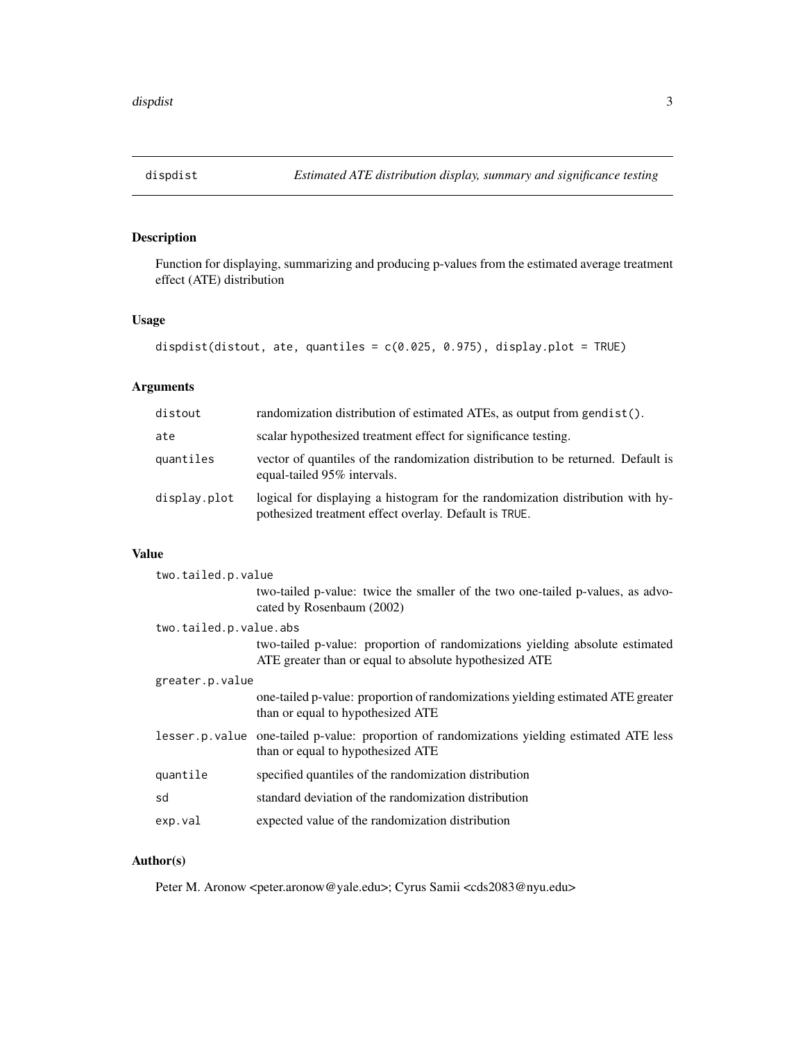<span id="page-2-0"></span>

# Description

Function for displaying, summarizing and producing p-values from the estimated average treatment effect (ATE) distribution

# Usage

```
dispdist(distout, ate, quantiles = c(0.025, 0.975), display.plot = TRUE)
```
# Arguments

| distout      | randomization distribution of estimated ATEs, as output from gendist().                                                                 |
|--------------|-----------------------------------------------------------------------------------------------------------------------------------------|
| ate          | scalar hypothesized treatment effect for significance testing.                                                                          |
| quantiles    | vector of quantiles of the randomization distribution to be returned. Default is<br>equal-tailed 95% intervals.                         |
| display.plot | logical for displaying a histogram for the randomization distribution with hy-<br>pothesized treatment effect overlay. Default is TRUE. |

# Value

| two.tailed.p.value |                                                                                                                                        |  |  |  |  |  |  |
|--------------------|----------------------------------------------------------------------------------------------------------------------------------------|--|--|--|--|--|--|
|                    | two-tailed p-value: twice the smaller of the two one-tailed p-values, as advo-<br>cated by Rosenbaum (2002)                            |  |  |  |  |  |  |
|                    | two.tailed.p.value.abs                                                                                                                 |  |  |  |  |  |  |
|                    | two-tailed p-value: proportion of randomizations yielding absolute estimated<br>ATE greater than or equal to absolute hypothesized ATE |  |  |  |  |  |  |
| greater.p.value    |                                                                                                                                        |  |  |  |  |  |  |
|                    | one-tailed p-value: proportion of randomizations yielding estimated ATE greater<br>than or equal to hypothesized ATE                   |  |  |  |  |  |  |
|                    | lesser.p.value one-tailed p-value: proportion of randomizations yielding estimated ATE less<br>than or equal to hypothesized ATE       |  |  |  |  |  |  |
| quantile           | specified quantiles of the randomization distribution                                                                                  |  |  |  |  |  |  |
| sd                 | standard deviation of the randomization distribution                                                                                   |  |  |  |  |  |  |
| exp.val            | expected value of the randomization distribution                                                                                       |  |  |  |  |  |  |

# Author(s)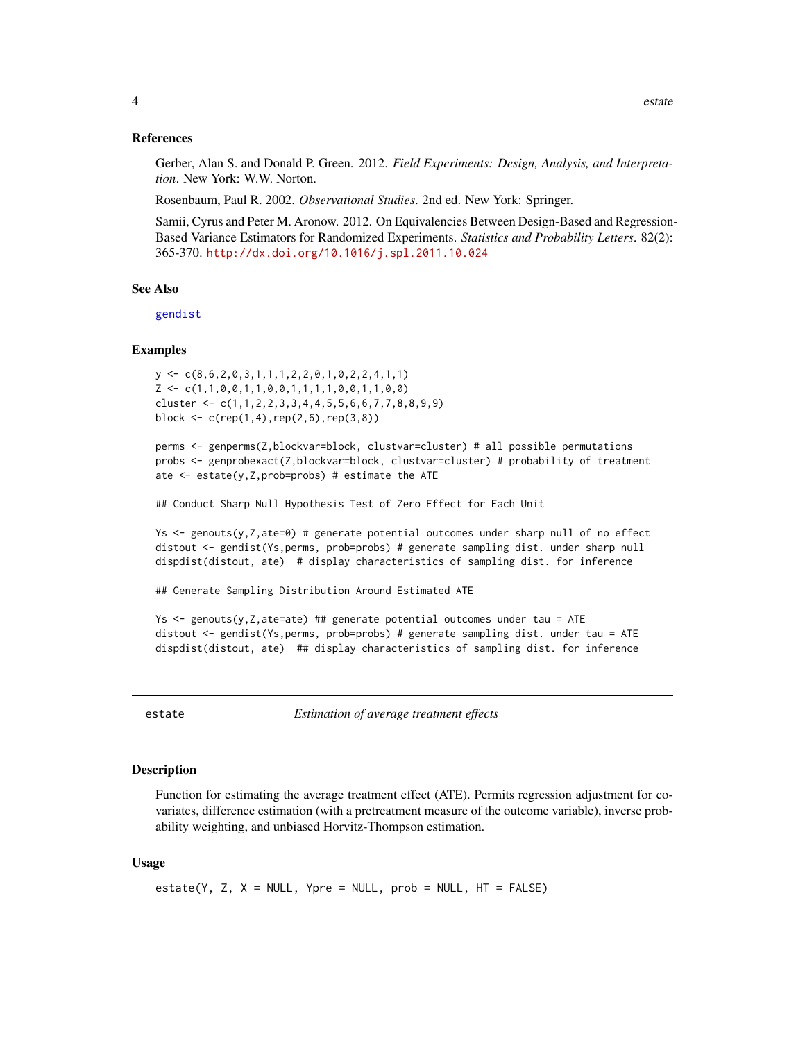#### <span id="page-3-0"></span>References

Gerber, Alan S. and Donald P. Green. 2012. *Field Experiments: Design, Analysis, and Interpretation*. New York: W.W. Norton.

Rosenbaum, Paul R. 2002. *Observational Studies*. 2nd ed. New York: Springer.

Samii, Cyrus and Peter M. Aronow. 2012. On Equivalencies Between Design-Based and Regression-Based Variance Estimators for Randomized Experiments. *Statistics and Probability Letters*. 82(2): 365-370. <http://dx.doi.org/10.1016/j.spl.2011.10.024>

# See Also

[gendist](#page-6-1)

#### Examples

```
y \leftarrow c(8, 6, 2, 0, 3, 1, 1, 1, 2, 2, 0, 1, 0, 2, 2, 4, 1, 1)Z \leq -c(1,1,0,0,1,1,0,0,1,1,1,1,0,0,1,1,0,0)cluster <- c(1,1,2,2,3,3,4,4,5,5,6,6,7,7,8,8,9,9)
block <- c(rep(1,4),rep(2,6),rep(3,8))
```

```
perms <- genperms(Z,blockvar=block, clustvar=cluster) # all possible permutations
probs <- genprobexact(Z,blockvar=block, clustvar=cluster) # probability of treatment
ate \leq estate(y, Z, prob=probs) # estimate the ATE
```
## Conduct Sharp Null Hypothesis Test of Zero Effect for Each Unit

Ys  $\le$  genouts(y, Z, ate=0) # generate potential outcomes under sharp null of no effect distout <- gendist(Ys,perms, prob=probs) # generate sampling dist. under sharp null dispdist(distout, ate) # display characteristics of sampling dist. for inference

## Generate Sampling Distribution Around Estimated ATE

```
Ys \le genouts(y, Z, ate=ate) ## generate potential outcomes under tau = ATE
distout <- gendist(Ys,perms, prob=probs) # generate sampling dist. under tau = ATE
dispdist(distout, ate) ## display characteristics of sampling dist. for inference
```
<span id="page-3-1"></span>

estate *Estimation of average treatment effects*

#### Description

Function for estimating the average treatment effect (ATE). Permits regression adjustment for covariates, difference estimation (with a pretreatment measure of the outcome variable), inverse probability weighting, and unbiased Horvitz-Thompson estimation.

#### Usage

```
estate(Y, Z, X = NULL, Ypre = NULL, prob = NULL, HT = FALSE)
```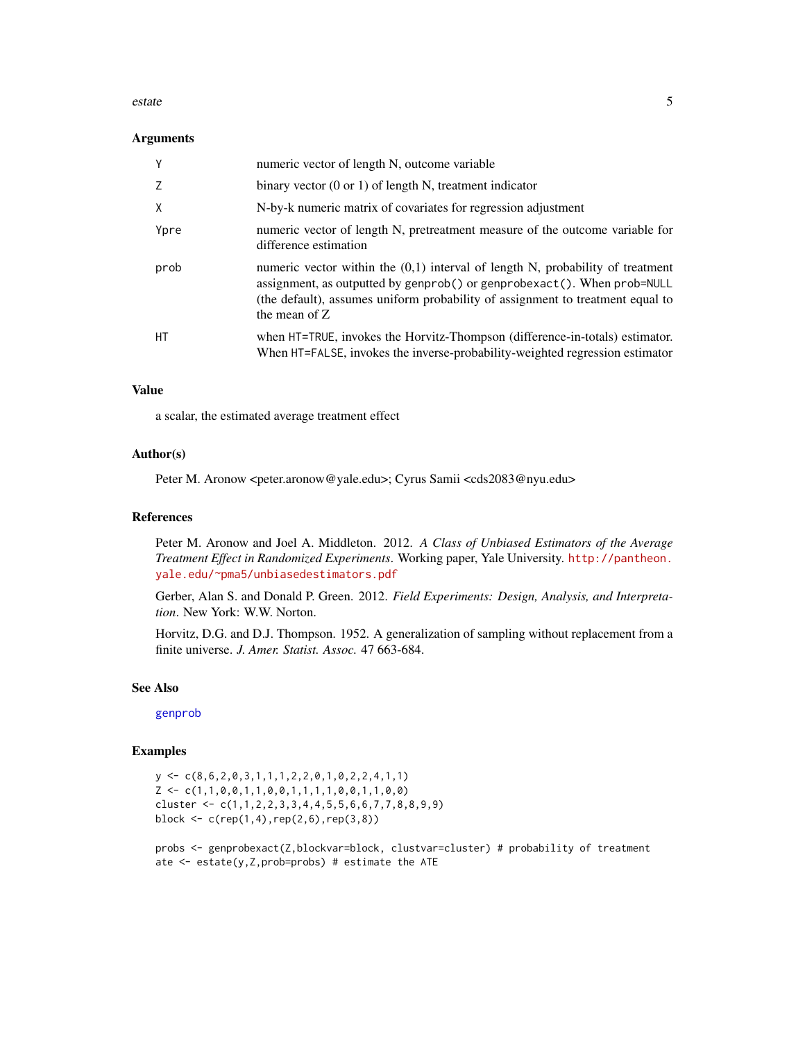#### <span id="page-4-0"></span>estate 5

#### **Arguments**

| Y    | numeric vector of length N, outcome variable                                                                                                                                                                                                                     |
|------|------------------------------------------------------------------------------------------------------------------------------------------------------------------------------------------------------------------------------------------------------------------|
|      | binary vector $(0 \text{ or } 1)$ of length N, treatment indicator                                                                                                                                                                                               |
| X    | N-by-k numeric matrix of covariates for regression adjustment                                                                                                                                                                                                    |
| Ypre | numeric vector of length N, pretreatment measure of the outcome variable for<br>difference estimation                                                                                                                                                            |
| prob | numeric vector within the $(0,1)$ interval of length N, probability of treatment<br>assignment, as outputted by genprob() or genprobexact(). When prob=NULL<br>(the default), assumes uniform probability of assignment to treatment equal to<br>the mean of $Z$ |
| HT.  | when HT=TRUE, invokes the Horvitz-Thompson (difference-in-totals) estimator.<br>When HT=FALSE, invokes the inverse-probability-weighted regression estimator                                                                                                     |

# Value

a scalar, the estimated average treatment effect

### Author(s)

Peter M. Aronow <peter.aronow@yale.edu>; Cyrus Samii <cds2083@nyu.edu>

#### References

Peter M. Aronow and Joel A. Middleton. 2012. *A Class of Unbiased Estimators of the Average Treatment Effect in Randomized Experiments*. Working paper, Yale University. [http://pantheon.](http://pantheon.yale.edu/~pma5/unbiasedestimators.pdf) [yale.edu/~pma5/unbiasedestimators.pdf](http://pantheon.yale.edu/~pma5/unbiasedestimators.pdf)

Gerber, Alan S. and Donald P. Green. 2012. *Field Experiments: Design, Analysis, and Interpretation*. New York: W.W. Norton.

Horvitz, D.G. and D.J. Thompson. 1952. A generalization of sampling without replacement from a finite universe. *J. Amer. Statist. Assoc.* 47 663-684.

# See Also

[genprob](#page-11-1)

# Examples

```
y \leftarrow c(8, 6, 2, 0, 3, 1, 1, 1, 2, 2, 0, 1, 0, 2, 2, 4, 1, 1)Z \leftarrow c(1,1,0,0,1,1,0,0,1,1,1,1,0,0,1,1,0,0)cluster \leq c(1,1,2,2,3,3,4,4,5,5,6,6,7,7,8,8,9,9)block <- c(rep(1,4),rep(2,6),rep(3,8))
```
probs <- genprobexact(Z,blockvar=block, clustvar=cluster) # probability of treatment ate <- estate(y,Z,prob=probs) # estimate the ATE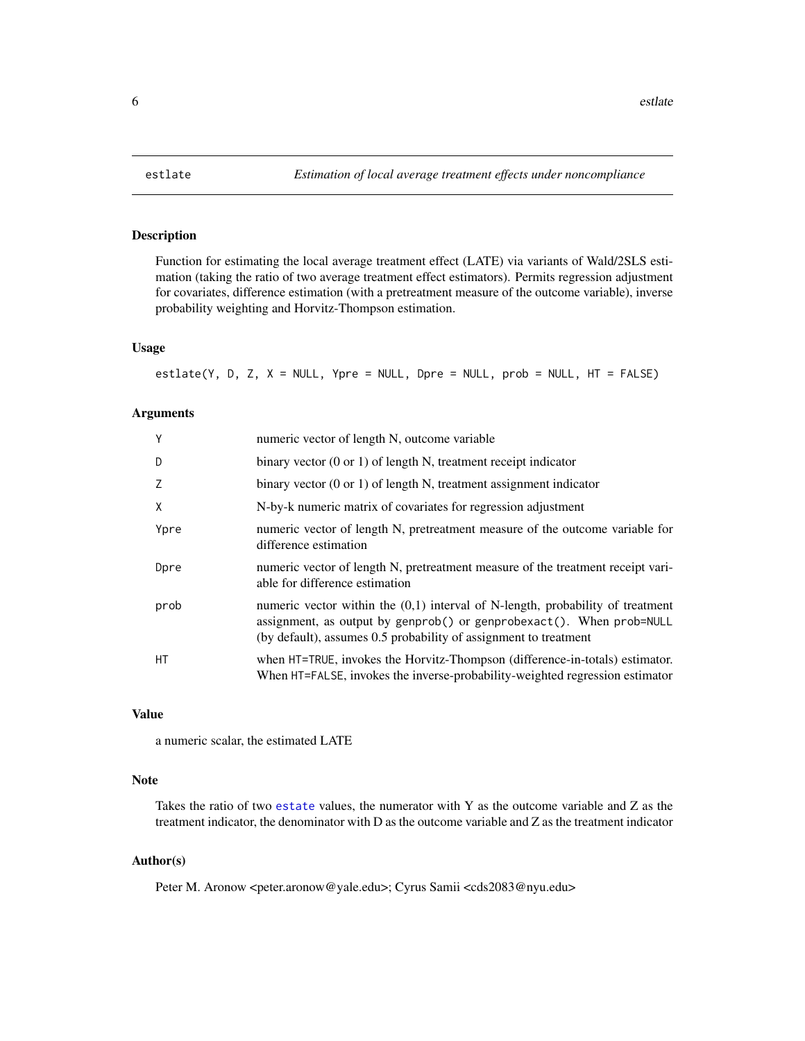<span id="page-5-0"></span>

#### Description

Function for estimating the local average treatment effect (LATE) via variants of Wald/2SLS estimation (taking the ratio of two average treatment effect estimators). Permits regression adjustment for covariates, difference estimation (with a pretreatment measure of the outcome variable), inverse probability weighting and Horvitz-Thompson estimation.

# Usage

estlate(Y, D, Z, X = NULL, Ypre = NULL, Dpre = NULL, prob = NULL, HT = FALSE)

# Arguments

| Y    | numeric vector of length N, outcome variable                                                                                                                                                                                 |
|------|------------------------------------------------------------------------------------------------------------------------------------------------------------------------------------------------------------------------------|
| D    | binary vector $(0 \text{ or } 1)$ of length N, treatment receipt indicator                                                                                                                                                   |
| 7    | binary vector $(0 \text{ or } 1)$ of length N, treatment assignment indicator                                                                                                                                                |
| X    | N-by-k numeric matrix of covariates for regression adjustment                                                                                                                                                                |
| Ypre | numeric vector of length N, pretreatment measure of the outcome variable for<br>difference estimation                                                                                                                        |
| Dpre | numeric vector of length N, pretreatment measure of the treatment receipt vari-<br>able for difference estimation                                                                                                            |
| prob | numeric vector within the $(0,1)$ interval of N-length, probability of treatment<br>assignment, as output by genprob() or genprobexact(). When prob=NULL<br>(by default), assumes 0.5 probability of assignment to treatment |
| HT.  | when HT=TRUE, invokes the Horvitz-Thompson (difference-in-totals) estimator.<br>When HT=FALSE, invokes the inverse-probability-weighted regression estimator                                                                 |

### Value

a numeric scalar, the estimated LATE

# Note

Takes the ratio of two [estate](#page-3-1) values, the numerator with Y as the outcome variable and Z as the treatment indicator, the denominator with D as the outcome variable and Z as the treatment indicator

# Author(s)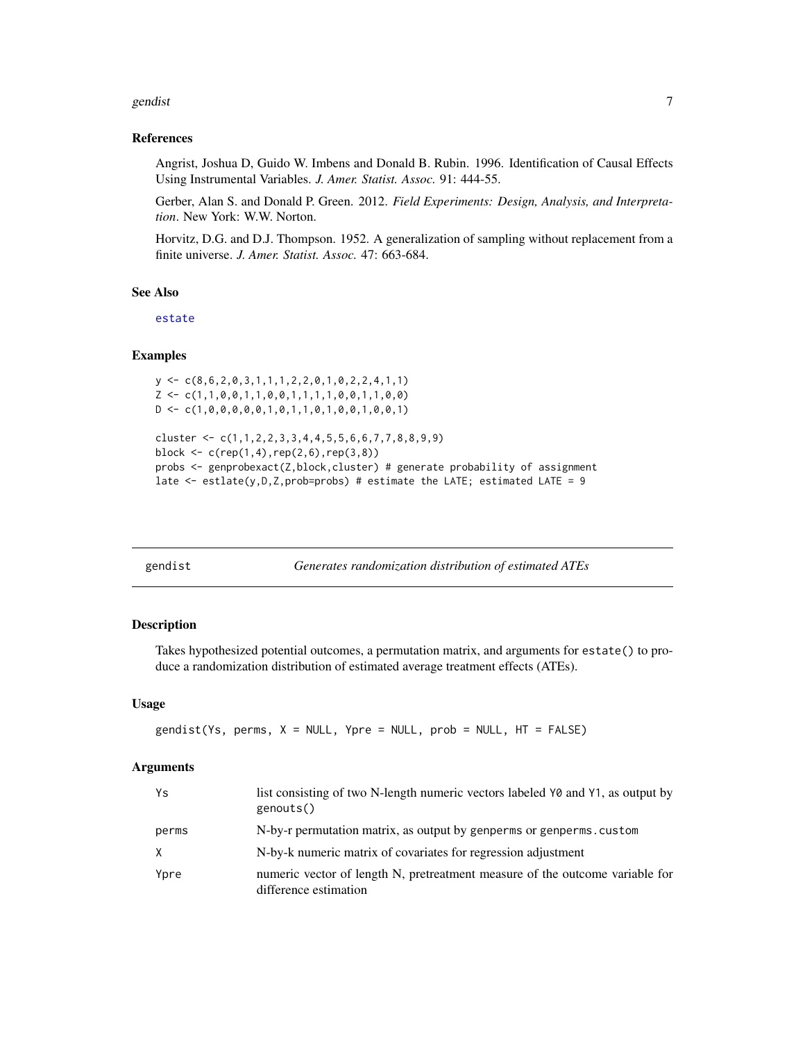#### <span id="page-6-0"></span>gendist two contracts of the contracts of the contracts of the contracts of the contracts of the contracts of the contracts of the contracts of the contracts of the contracts of the contracts of the contracts of the contra

#### References

Angrist, Joshua D, Guido W. Imbens and Donald B. Rubin. 1996. Identification of Causal Effects Using Instrumental Variables. *J. Amer. Statist. Assoc.* 91: 444-55.

Gerber, Alan S. and Donald P. Green. 2012. *Field Experiments: Design, Analysis, and Interpretation*. New York: W.W. Norton.

Horvitz, D.G. and D.J. Thompson. 1952. A generalization of sampling without replacement from a finite universe. *J. Amer. Statist. Assoc.* 47: 663-684.

# See Also

[estate](#page-3-1)

# **Examples**

```
y \leftarrow c(8, 6, 2, 0, 3, 1, 1, 1, 2, 2, 0, 1, 0, 2, 2, 4, 1, 1)Z \leftarrow c(1,1,0,0,1,1,0,0,1,1,1,1,0,0,1,1,0,0)D \leftarrow c(1, 0, 0, 0, 0, 0, 1, 0, 1, 1, 0, 1, 0, 0, 1, 0, 0, 1)cluster <- c(1,1,2,2,3,3,4,4,5,5,6,6,7,7,8,8,9,9)
block <- c(rep(1,4),rep(2,6),rep(3,8))
probs <- genprobexact(Z,block,cluster) # generate probability of assignment
late \leq estlate(y, D, Z, prob=probs) # estimate the LATE; estimated LATE = 9
```

<span id="page-6-1"></span>gendist *Generates randomization distribution of estimated ATEs*

#### Description

Takes hypothesized potential outcomes, a permutation matrix, and arguments for estate() to produce a randomization distribution of estimated average treatment effects (ATEs).

#### Usage

 $gendist(Ys, perms, X = NULL, Ypre = NULL, prob = NULL, HT = FALSE)$ 

#### Arguments

| Ys    | list consisting of two N-length numeric vectors labeled Y0 and Y1, as output by<br>genouts()          |
|-------|-------------------------------------------------------------------------------------------------------|
| perms | N-by-r permutation matrix, as output by genperms or genperms. custom                                  |
| X     | N-by-k numeric matrix of covariates for regression adjustment                                         |
| Ypre  | numeric vector of length N, pretreatment measure of the outcome variable for<br>difference estimation |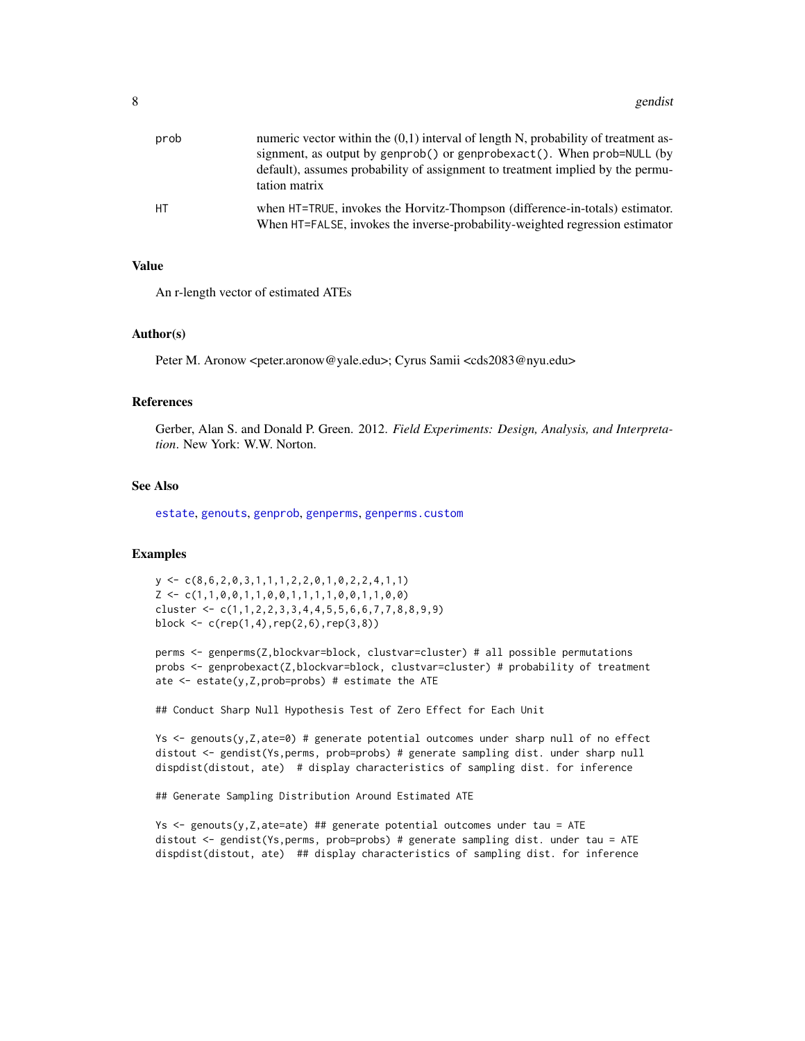<span id="page-7-0"></span>

| prob | numeric vector within the $(0,1)$ interval of length N, probability of treatment as-<br>signment, as output by genprob() or genprobexact(). When prob=NULL (by<br>default), assumes probability of assignment to treatment implied by the permu-<br>tation matrix |
|------|-------------------------------------------------------------------------------------------------------------------------------------------------------------------------------------------------------------------------------------------------------------------|
| HT.  | when HT=TRUE, invokes the Horvitz-Thompson (difference-in-totals) estimator.<br>When HT=FALSE, invokes the inverse-probability-weighted regression estimator                                                                                                      |

#### Value

An r-length vector of estimated ATEs

#### Author(s)

Peter M. Aronow <peter.aronow@yale.edu>; Cyrus Samii <cds2083@nyu.edu>

#### References

Gerber, Alan S. and Donald P. Green. 2012. *Field Experiments: Design, Analysis, and Interpretation*. New York: W.W. Norton.

#### See Also

[estate](#page-3-1), [genouts](#page-8-1), [genprob](#page-11-1), [genperms](#page-9-1), [genperms.custom](#page-10-1)

#### Examples

 $y \leftarrow c(8, 6, 2, 0, 3, 1, 1, 1, 2, 2, 0, 1, 0, 2, 2, 4, 1, 1)$  $Z \leftarrow c(1,1,0,0,1,1,0,0,1,1,1,1,0,0,1,1,0,0)$ cluster <- c(1,1,2,2,3,3,4,4,5,5,6,6,7,7,8,8,9,9) block  $\leq c$  (rep(1,4),rep(2,6),rep(3,8))

perms <- genperms(Z,blockvar=block, clustvar=cluster) # all possible permutations probs <- genprobexact(Z,blockvar=block, clustvar=cluster) # probability of treatment ate <- estate(y,Z,prob=probs) # estimate the ATE

## Conduct Sharp Null Hypothesis Test of Zero Effect for Each Unit

Ys <- genouts(y,Z,ate=0) # generate potential outcomes under sharp null of no effect distout <- gendist(Ys,perms, prob=probs) # generate sampling dist. under sharp null dispdist(distout, ate) # display characteristics of sampling dist. for inference

## Generate Sampling Distribution Around Estimated ATE

Ys  $\le$  genouts(y, Z, ate=ate) ## generate potential outcomes under tau = ATE distout <- gendist(Ys,perms, prob=probs) # generate sampling dist. under tau = ATE dispdist(distout, ate) ## display characteristics of sampling dist. for inference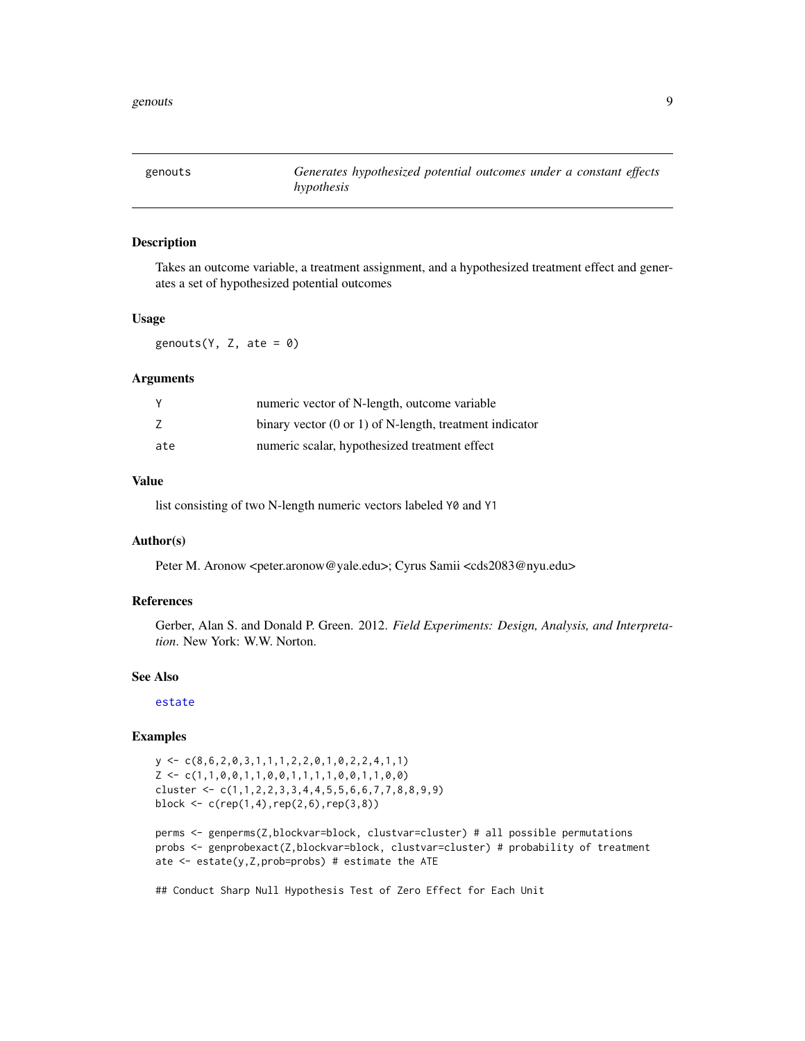<span id="page-8-1"></span><span id="page-8-0"></span>

#### Description

Takes an outcome variable, a treatment assignment, and a hypothesized treatment effect and generates a set of hypothesized potential outcomes

# Usage

genouts( $Y$ ,  $Z$ , ate = 0)

#### Arguments

| <sup>V</sup> | numeric vector of N-length, outcome variable                       |
|--------------|--------------------------------------------------------------------|
|              | binary vector $(0 \text{ or } 1)$ of N-length, treatment indicator |
| ate          | numeric scalar, hypothesized treatment effect                      |

# Value

list consisting of two N-length numeric vectors labeled Y0 and Y1

# Author(s)

Peter M. Aronow <peter.aronow@yale.edu>; Cyrus Samii <cds2083@nyu.edu>

# References

Gerber, Alan S. and Donald P. Green. 2012. *Field Experiments: Design, Analysis, and Interpretation*. New York: W.W. Norton.

#### See Also

[estate](#page-3-1)

#### Examples

```
y <- c(8,6,2,0,3,1,1,1,2,2,0,1,0,2,2,4,1,1)
Z \leftarrow c(1,1,0,0,1,1,0,0,1,1,1,1,0,0,1,1,0,0)cluster \leq c(1,1,2,2,3,3,4,4,5,5,6,6,7,7,8,8,9,9)block \leq c (rep(1,4),rep(2,6),rep(3,8))
```

```
perms <- genperms(Z,blockvar=block, clustvar=cluster) # all possible permutations
probs <- genprobexact(Z,blockvar=block, clustvar=cluster) # probability of treatment
ate \leq estate(y, Z, prob=probs) # estimate the ATE
```
## Conduct Sharp Null Hypothesis Test of Zero Effect for Each Unit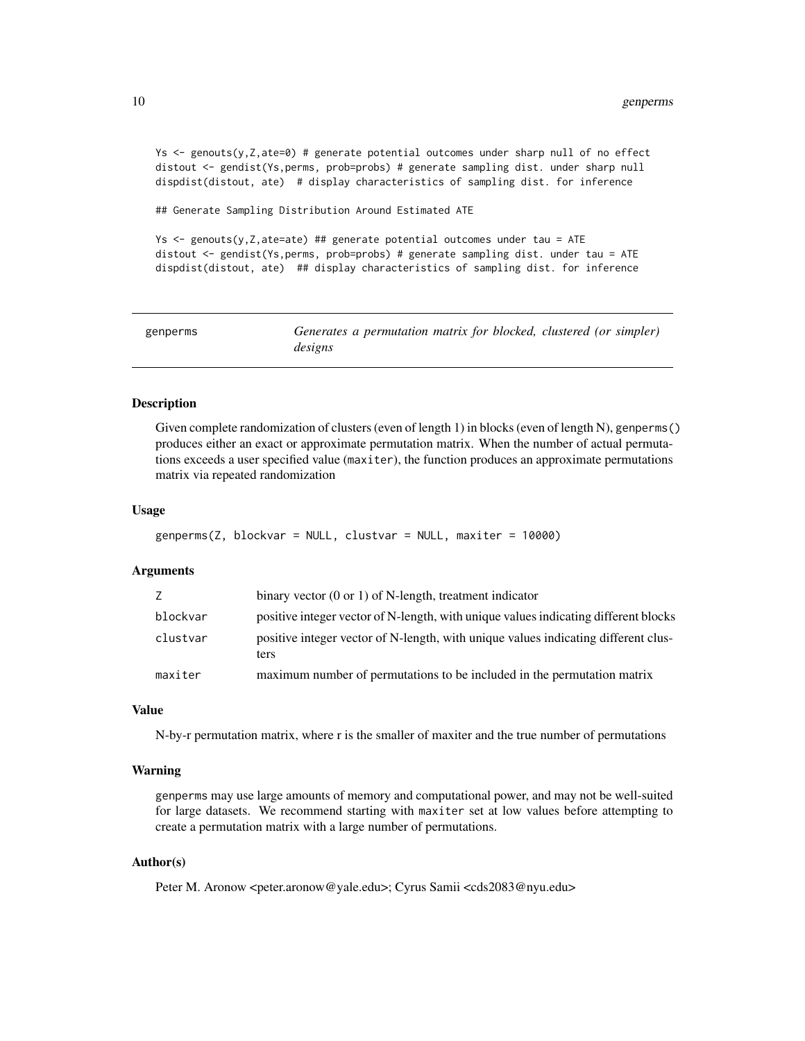<span id="page-9-0"></span>Ys <- genouts(y,Z,ate=0) # generate potential outcomes under sharp null of no effect distout <- gendist(Ys,perms, prob=probs) # generate sampling dist. under sharp null dispdist(distout, ate) # display characteristics of sampling dist. for inference

## Generate Sampling Distribution Around Estimated ATE

Ys <- genouts(y,Z,ate=ate) ## generate potential outcomes under tau = ATE distout <- gendist(Ys,perms, prob=probs) # generate sampling dist. under tau = ATE dispdist(distout, ate) ## display characteristics of sampling dist. for inference

<span id="page-9-1"></span>

| genperms | Generates a permutation matrix for blocked, clustered (or simpler) |
|----------|--------------------------------------------------------------------|
|          | designs                                                            |

#### Description

Given complete randomization of clusters (even of length 1) in blocks (even of length N), genperms() produces either an exact or approximate permutation matrix. When the number of actual permutations exceeds a user specified value (maxiter), the function produces an approximate permutations matrix via repeated randomization

#### Usage

```
genperms(Z, blockvar = NULL, clustvar = NULL, maxiter = 10000)
```
# Arguments

| maxiter  | maximum number of permutations to be included in the permutation matrix                    |
|----------|--------------------------------------------------------------------------------------------|
| clustvar | positive integer vector of N-length, with unique values indicating different clus-<br>ters |
| blockvar | positive integer vector of N-length, with unique values indicating different blocks        |
|          | binary vector $(0 \text{ or } 1)$ of N-length, treatment indicator                         |

#### Value

N-by-r permutation matrix, where r is the smaller of maxiter and the true number of permutations

#### Warning

genperms may use large amounts of memory and computational power, and may not be well-suited for large datasets. We recommend starting with maxiter set at low values before attempting to create a permutation matrix with a large number of permutations.

# Author(s)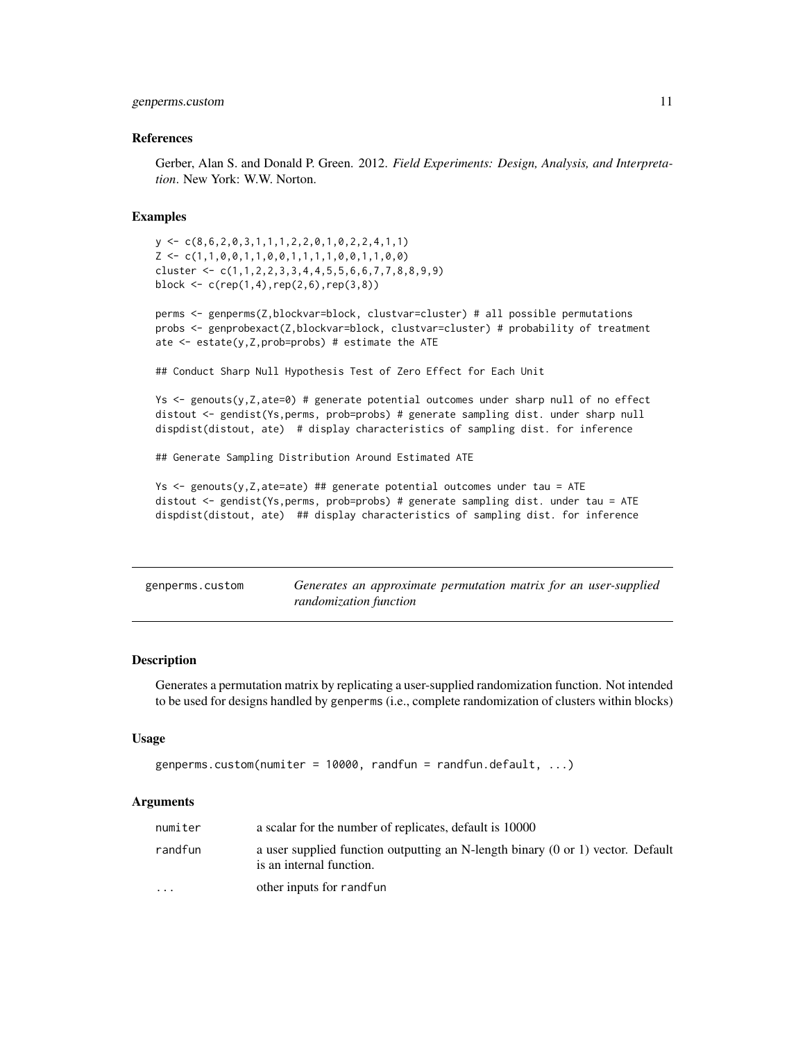#### <span id="page-10-0"></span>genperms.custom 11

#### References

Gerber, Alan S. and Donald P. Green. 2012. *Field Experiments: Design, Analysis, and Interpretation*. New York: W.W. Norton.

# Examples

```
y \leftarrow c(8, 6, 2, 0, 3, 1, 1, 1, 2, 2, 0, 1, 0, 2, 2, 4, 1, 1)Z \leftarrow c(1,1,0,0,1,1,0,0,1,1,1,1,0,0,1,1,0,0)cluster \leq c(1,1,2,2,3,3,4,4,5,5,6,6,7,7,8,8,9,9)block \leq c (rep(1,4), rep(2,6), rep(3,8))
```
perms <- genperms(Z,blockvar=block, clustvar=cluster) # all possible permutations probs <- genprobexact(Z,blockvar=block, clustvar=cluster) # probability of treatment ate  $\leq$  estate(y, Z, prob=probs) # estimate the ATE

## Conduct Sharp Null Hypothesis Test of Zero Effect for Each Unit

Ys <- genouts(y,Z,ate=0) # generate potential outcomes under sharp null of no effect distout <- gendist(Ys,perms, prob=probs) # generate sampling dist. under sharp null dispdist(distout, ate) # display characteristics of sampling dist. for inference

## Generate Sampling Distribution Around Estimated ATE

```
Ys \leq genouts(y, Z, ate=ate) ## generate potential outcomes under tau = ATE
distout <- gendist(Ys,perms, prob=probs) # generate sampling dist. under tau = ATE
dispdist(distout, ate) ## display characteristics of sampling dist. for inference
```
<span id="page-10-1"></span>

| genperms.custom | Generates an approximate permutation matrix for an user-supplied |  |  |  |
|-----------------|------------------------------------------------------------------|--|--|--|
|                 | randomization function                                           |  |  |  |

#### **Description**

Generates a permutation matrix by replicating a user-supplied randomization function. Not intended to be used for designs handled by genperms (i.e., complete randomization of clusters within blocks)

#### Usage

```
genperms.custom(numiter = 10000, randfun = randfun.default, \dots)
```
#### Arguments

| numiter                 | a scalar for the number of replicates, default is 10000                                                                |
|-------------------------|------------------------------------------------------------------------------------------------------------------------|
| randfun                 | a user supplied function outputting an N-length binary $(0 \text{ or } 1)$ vector. Default<br>is an internal function. |
| $\cdot$ $\cdot$ $\cdot$ | other inputs for randfun                                                                                               |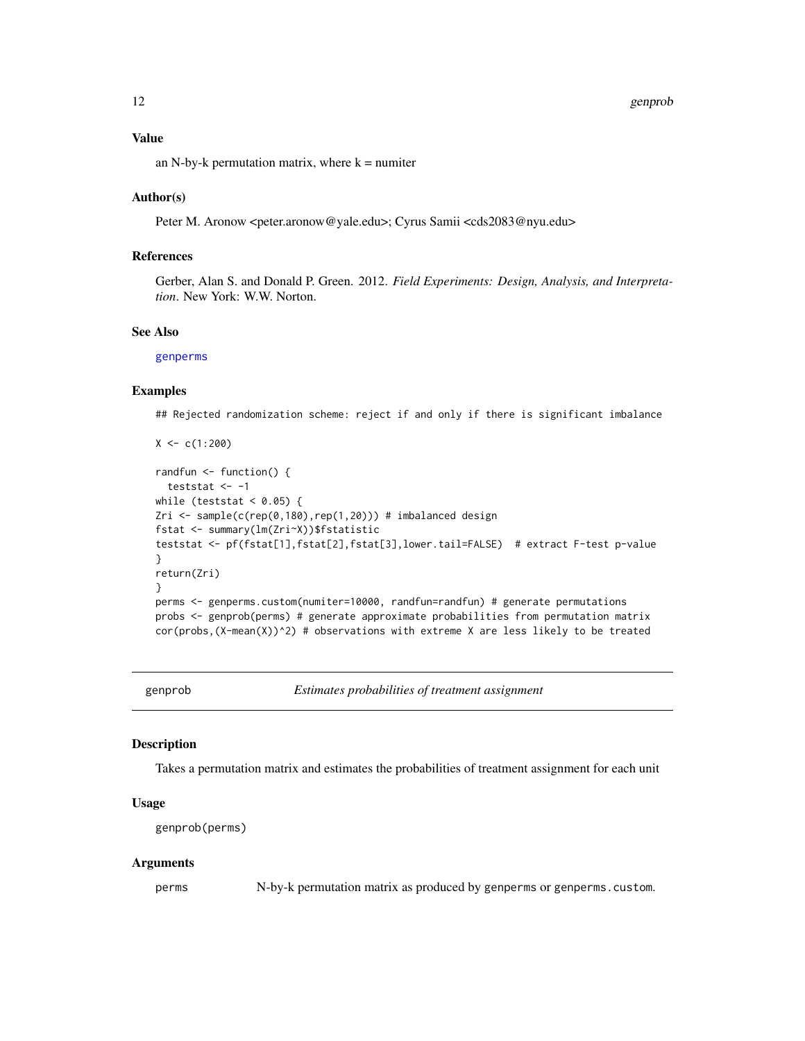#### <span id="page-11-0"></span>12 genprob

#### Value

an N-by-k permutation matrix, where  $k =$  numiter

#### Author(s)

Peter M. Aronow <peter.aronow@yale.edu>; Cyrus Samii <cds2083@nyu.edu>

# References

Gerber, Alan S. and Donald P. Green. 2012. *Field Experiments: Design, Analysis, and Interpretation*. New York: W.W. Norton.

# See Also

[genperms](#page-9-1)

#### Examples

## Rejected randomization scheme: reject if and only if there is significant imbalance

```
X < -c(1:200)randfun <- function() {
  teststat <-1while (teststat < 0.05) {
Zri <- sample(c(rep(0,180),rep(1,20))) # imbalanced design
fstat <- summary(lm(Zri~X))$fstatistic
teststat <- pf(fstat[1],fstat[2],fstat[3],lower.tail=FALSE) # extract F-test p-value
}
return(Zri)
}
perms <- genperms.custom(numiter=10000, randfun=randfun) # generate permutations
probs <- genprob(perms) # generate approximate probabilities from permutation matrix
cor(probs, (X-mean(X))^2) # observations with extreme X are less likely to be treated
```
<span id="page-11-1"></span>genprob *Estimates probabilities of treatment assignment*

# Description

Takes a permutation matrix and estimates the probabilities of treatment assignment for each unit

# Usage

genprob(perms)

#### Arguments

perms N-by-k permutation matrix as produced by genperms or genperms.custom.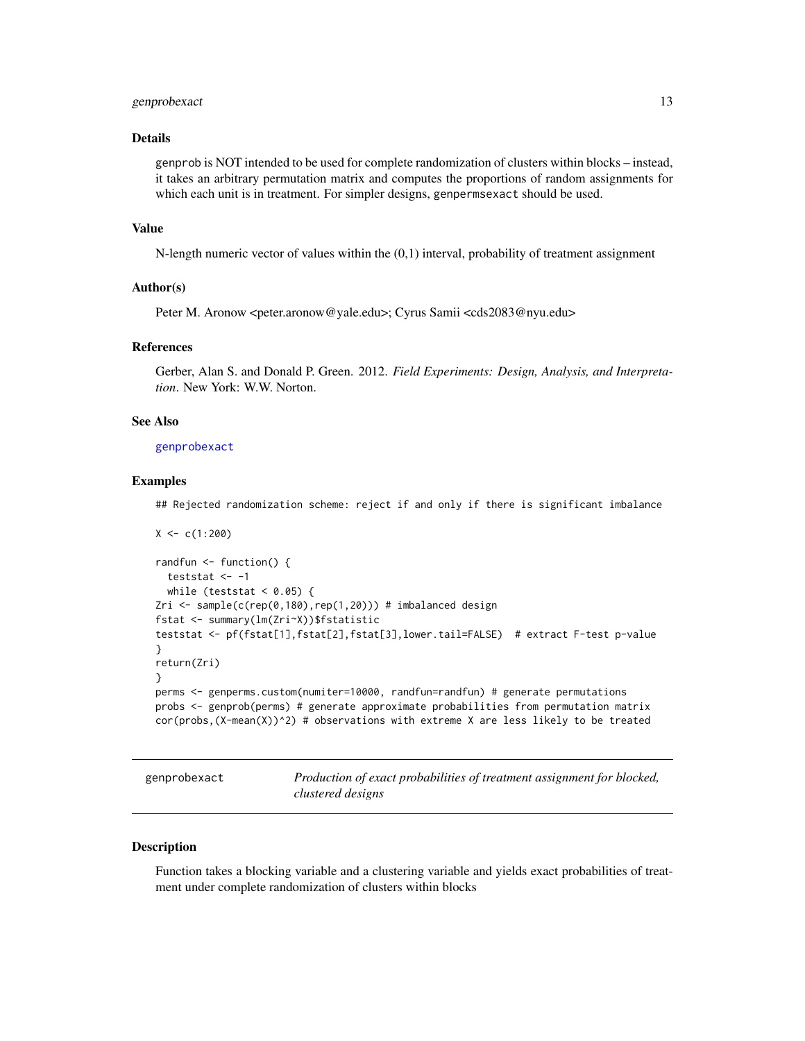#### <span id="page-12-0"></span>genprobexact 13

# Details

genprob is NOT intended to be used for complete randomization of clusters within blocks – instead, it takes an arbitrary permutation matrix and computes the proportions of random assignments for which each unit is in treatment. For simpler designs, genpermsexact should be used.

#### Value

N-length numeric vector of values within the (0,1) interval, probability of treatment assignment

#### Author(s)

Peter M. Aronow <peter.aronow@yale.edu>; Cyrus Samii <cds2083@nyu.edu>

#### References

Gerber, Alan S. and Donald P. Green. 2012. *Field Experiments: Design, Analysis, and Interpretation*. New York: W.W. Norton.

# See Also

[genprobexact](#page-12-1)

#### Examples

## Rejected randomization scheme: reject if and only if there is significant imbalance

```
X < -c(1:200)randfun <- function() {
  teststat \leq -1while (teststat < 0.05) {
Zri <- sample(c(rep(0,180),rep(1,20))) # imbalanced design
fstat <- summary(lm(Zri~X))$fstatistic
teststat <- pf(fstat[1],fstat[2],fstat[3],lower.tail=FALSE) # extract F-test p-value
}
return(Zri)
}
perms <- genperms.custom(numiter=10000, randfun=randfun) # generate permutations
probs <- genprob(perms) # generate approximate probabilities from permutation matrix
cor(probs,(X-mean(X))^2) # observations with extreme X are less likely to be treated
```
<span id="page-12-1"></span>genprobexact *Production of exact probabilities of treatment assignment for blocked, clustered designs*

#### Description

Function takes a blocking variable and a clustering variable and yields exact probabilities of treatment under complete randomization of clusters within blocks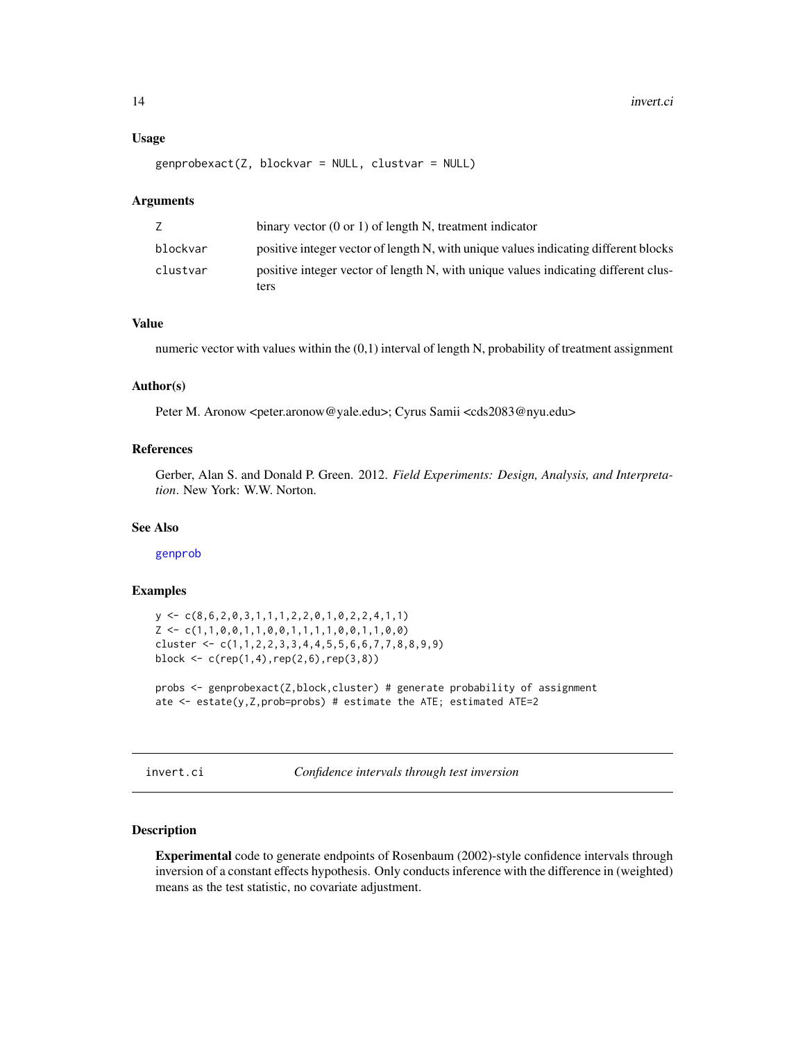#### <span id="page-13-0"></span>Usage

 $genprobexact(Z, blockvar = NULL, cluster = NULL)$ 

#### Arguments

|          | binary vector $(0 \text{ or } 1)$ of length N, treatment indicator                         |
|----------|--------------------------------------------------------------------------------------------|
| blockvar | positive integer vector of length N, with unique values indicating different blocks        |
| clustvar | positive integer vector of length N, with unique values indicating different clus-<br>ters |

### Value

numeric vector with values within the (0,1) interval of length N, probability of treatment assignment

#### Author(s)

Peter M. Aronow <peter.aronow@yale.edu>; Cyrus Samii <cds2083@nyu.edu>

# References

Gerber, Alan S. and Donald P. Green. 2012. *Field Experiments: Design, Analysis, and Interpretation*. New York: W.W. Norton.

# See Also

[genprob](#page-11-1)

#### Examples

 $y \leftarrow c(8, 6, 2, 0, 3, 1, 1, 1, 2, 2, 0, 1, 0, 2, 2, 4, 1, 1)$  $Z \leftarrow c(1,1,0,0,1,1,0,0,1,1,1,1,0,0,1,1,0,0)$ cluster  $\leq c(1,1,2,2,3,3,4,4,5,5,6,6,7,7,8,8,9,9)$ block  $\leq c$  (rep(1,4), rep(2,6), rep(3,8))

probs <- genprobexact(Z,block,cluster) # generate probability of assignment ate  $\leq$  estate(y, Z, prob=probs) # estimate the ATE; estimated ATE=2

invert.ci *Confidence intervals through test inversion*

# Description

Experimental code to generate endpoints of Rosenbaum (2002)-style confidence intervals through inversion of a constant effects hypothesis. Only conducts inference with the difference in (weighted) means as the test statistic, no covariate adjustment.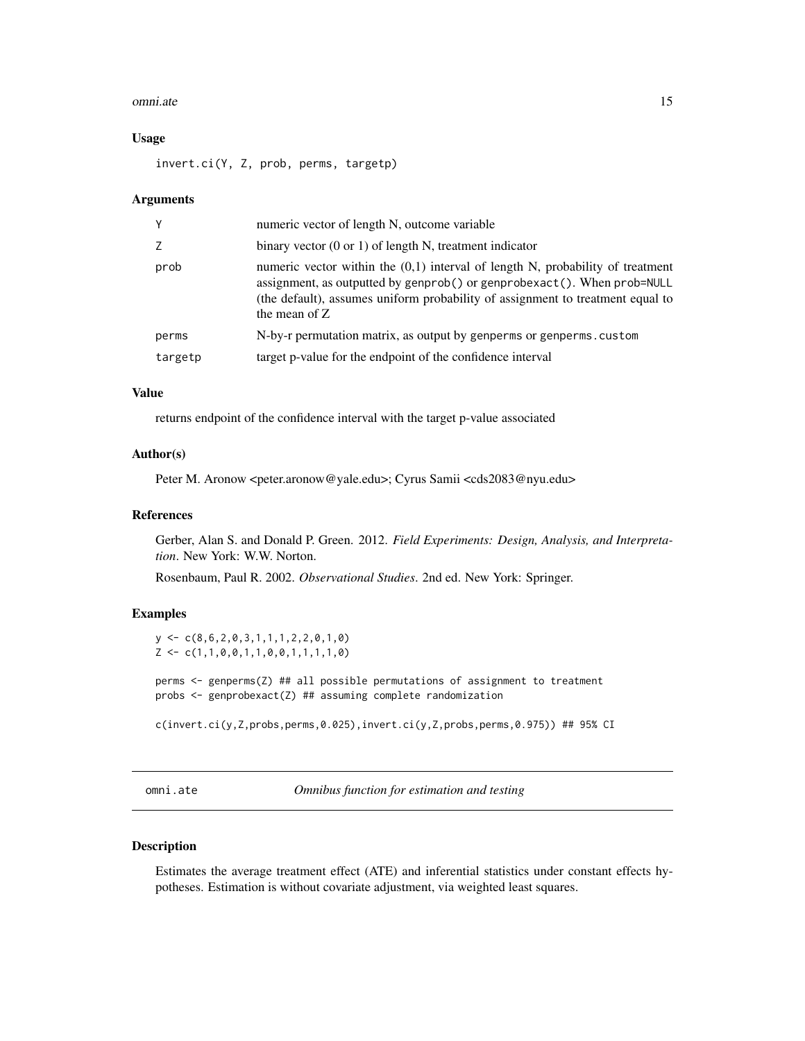#### <span id="page-14-0"></span>omni.ate 15

#### Usage

invert.ci(Y, Z, prob, perms, targetp)

#### **Arguments**

| numeric vector of length N, outcome variable                                                                                                                                                                                                                     |
|------------------------------------------------------------------------------------------------------------------------------------------------------------------------------------------------------------------------------------------------------------------|
| binary vector $(0 \text{ or } 1)$ of length N, treatment indicator                                                                                                                                                                                               |
| numeric vector within the $(0,1)$ interval of length N, probability of treatment<br>assignment, as outputted by genprob() or genprobexact(). When prob=NULL<br>(the default), assumes uniform probability of assignment to treatment equal to<br>the mean of $Z$ |
| N-by-r permutation matrix, as output by genperms or genperms. custom                                                                                                                                                                                             |
| target p-value for the endpoint of the confidence interval                                                                                                                                                                                                       |
|                                                                                                                                                                                                                                                                  |

# Value

returns endpoint of the confidence interval with the target p-value associated

# Author(s)

Peter M. Aronow <peter.aronow@yale.edu>; Cyrus Samii <cds2083@nyu.edu>

#### References

Gerber, Alan S. and Donald P. Green. 2012. *Field Experiments: Design, Analysis, and Interpretation*. New York: W.W. Norton.

Rosenbaum, Paul R. 2002. *Observational Studies*. 2nd ed. New York: Springer.

# Examples

 $y \leftarrow c(8, 6, 2, 0, 3, 1, 1, 1, 2, 2, 0, 1, 0)$  $Z \leftarrow c(1,1,0,0,1,1,0,0,1,1,1,1,0)$ 

perms <- genperms(Z) ## all possible permutations of assignment to treatment probs <- genprobexact(Z) ## assuming complete randomization

c(invert.ci(y,Z,probs,perms,0.025),invert.ci(y,Z,probs,perms,0.975)) ## 95% CI

omni.ate *Omnibus function for estimation and testing*

# Description

Estimates the average treatment effect (ATE) and inferential statistics under constant effects hypotheses. Estimation is without covariate adjustment, via weighted least squares.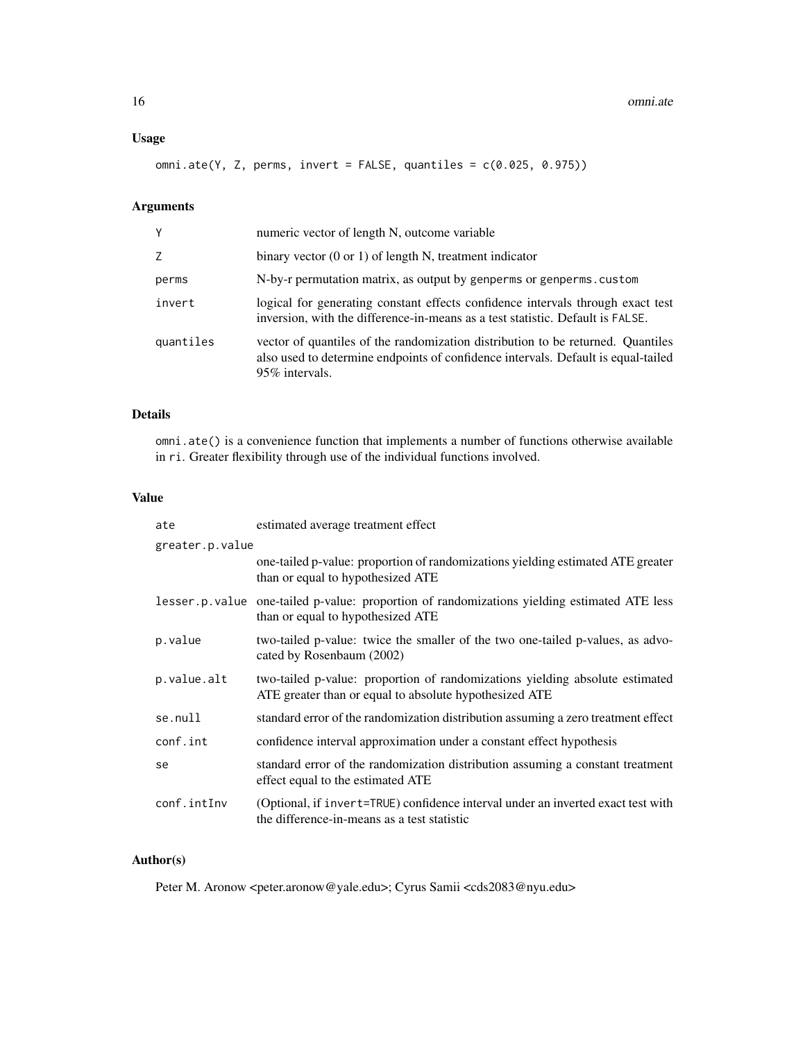# Usage

omni.ate(Y, Z, perms, invert = FALSE, quantiles = c(0.025, 0.975))

# Arguments

| Υ         | numeric vector of length N, outcome variable                                                                                                                                           |
|-----------|----------------------------------------------------------------------------------------------------------------------------------------------------------------------------------------|
| Z         | binary vector $(0 \text{ or } 1)$ of length N, treatment indicator                                                                                                                     |
| perms     | N-by-r permutation matrix, as output by genperms or genperms. custom                                                                                                                   |
| invert    | logical for generating constant effects confidence intervals through exact test<br>inversion, with the difference-in-means as a test statistic. Default is FALSE.                      |
| quantiles | vector of quantiles of the randomization distribution to be returned. Quantiles<br>also used to determine endpoints of confidence intervals. Default is equal-tailed<br>95% intervals. |

# Details

omni.ate() is a convenience function that implements a number of functions otherwise available in ri. Greater flexibility through use of the individual functions involved.

# Value

| ate             | estimated average treatment effect                                                                                                     |
|-----------------|----------------------------------------------------------------------------------------------------------------------------------------|
| greater.p.value |                                                                                                                                        |
|                 | one-tailed p-value: proportion of randomizations yielding estimated ATE greater<br>than or equal to hypothesized ATE                   |
|                 | lesser.p.value one-tailed p-value: proportion of randomizations yielding estimated ATE less<br>than or equal to hypothesized ATE       |
| p.value         | two-tailed p-value: twice the smaller of the two one-tailed p-values, as advo-<br>cated by Rosenbaum (2002)                            |
| p.value.alt     | two-tailed p-value: proportion of randomizations yielding absolute estimated<br>ATE greater than or equal to absolute hypothesized ATE |
| se.null         | standard error of the randomization distribution assuming a zero treatment effect                                                      |
| conf.int        | confidence interval approximation under a constant effect hypothesis                                                                   |
| se              | standard error of the randomization distribution assuming a constant treatment<br>effect equal to the estimated ATE                    |
| conf.intInv     | (Optional, if invert=TRUE) confidence interval under an inverted exact test with<br>the difference-in-means as a test statistic        |

# Author(s)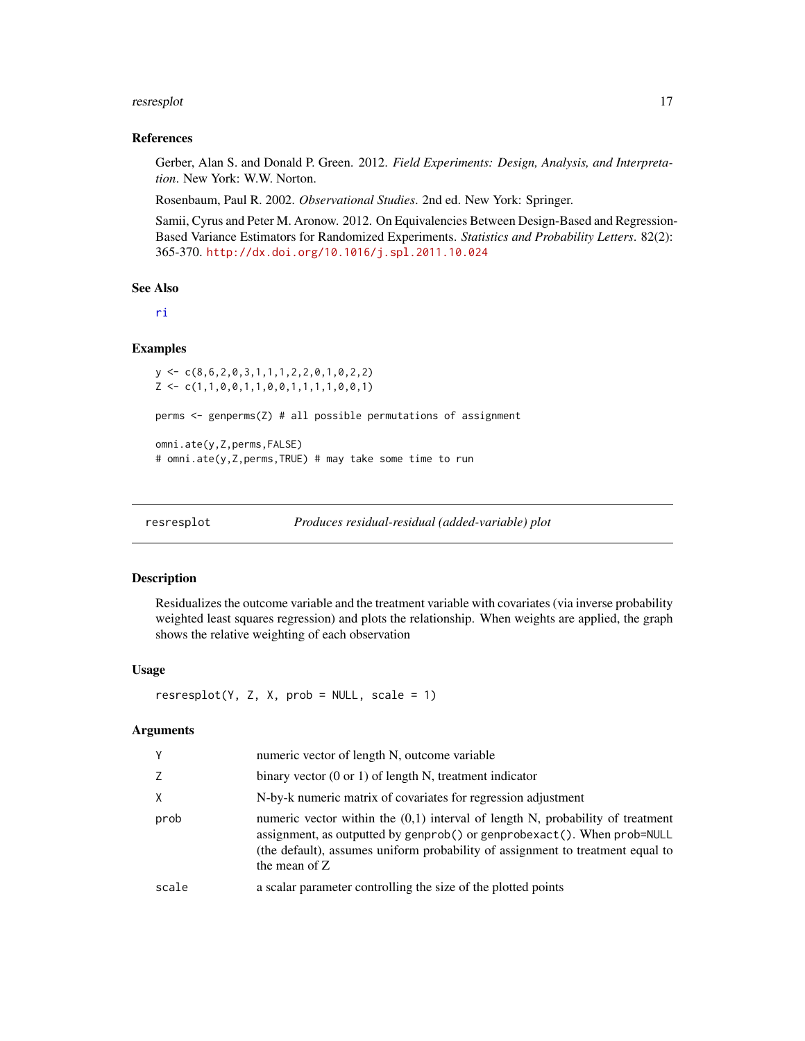#### <span id="page-16-0"></span>resresplot that the contract of the contract of the contract of the contract of the contract of the contract of the contract of the contract of the contract of the contract of the contract of the contract of the contract o

#### References

Gerber, Alan S. and Donald P. Green. 2012. *Field Experiments: Design, Analysis, and Interpretation*. New York: W.W. Norton.

Rosenbaum, Paul R. 2002. *Observational Studies*. 2nd ed. New York: Springer.

Samii, Cyrus and Peter M. Aronow. 2012. On Equivalencies Between Design-Based and Regression-Based Variance Estimators for Randomized Experiments. *Statistics and Probability Letters*. 82(2): 365-370. <http://dx.doi.org/10.1016/j.spl.2011.10.024>

#### See Also

[ri](#page-1-1)

#### Examples

```
y <- c(8,6,2,0,3,1,1,1,2,2,0,1,0,2,2)
Z \leftarrow c(1,1,0,0,1,1,0,0,1,1,1,1,0,0,1)perms <- genperms(Z) # all possible permutations of assignment
omni.ate(y,Z,perms,FALSE)
# omni.ate(y,Z,perms,TRUE) # may take some time to run
```

| resresplot | Produces residual-residual (added-variable) plot |  |  |
|------------|--------------------------------------------------|--|--|
|------------|--------------------------------------------------|--|--|

# Description

Residualizes the outcome variable and the treatment variable with covariates (via inverse probability weighted least squares regression) and plots the relationship. When weights are applied, the graph shows the relative weighting of each observation

# Usage

```
resreplot(Y, Z, X, prob = NULL, scale = 1)
```
# Arguments

| γ     | numeric vector of length N, outcome variable                                                                                                                                                                                                                     |
|-------|------------------------------------------------------------------------------------------------------------------------------------------------------------------------------------------------------------------------------------------------------------------|
| Z     | binary vector $(0 \text{ or } 1)$ of length N, treatment indicator                                                                                                                                                                                               |
| X     | N-by-k numeric matrix of covariates for regression adjustment                                                                                                                                                                                                    |
| prob  | numeric vector within the $(0,1)$ interval of length N, probability of treatment<br>assignment, as outputted by genprob() or genprobexact(). When prob=NULL<br>(the default), assumes uniform probability of assignment to treatment equal to<br>the mean of $Z$ |
| scale | a scalar parameter controlling the size of the plotted points                                                                                                                                                                                                    |
|       |                                                                                                                                                                                                                                                                  |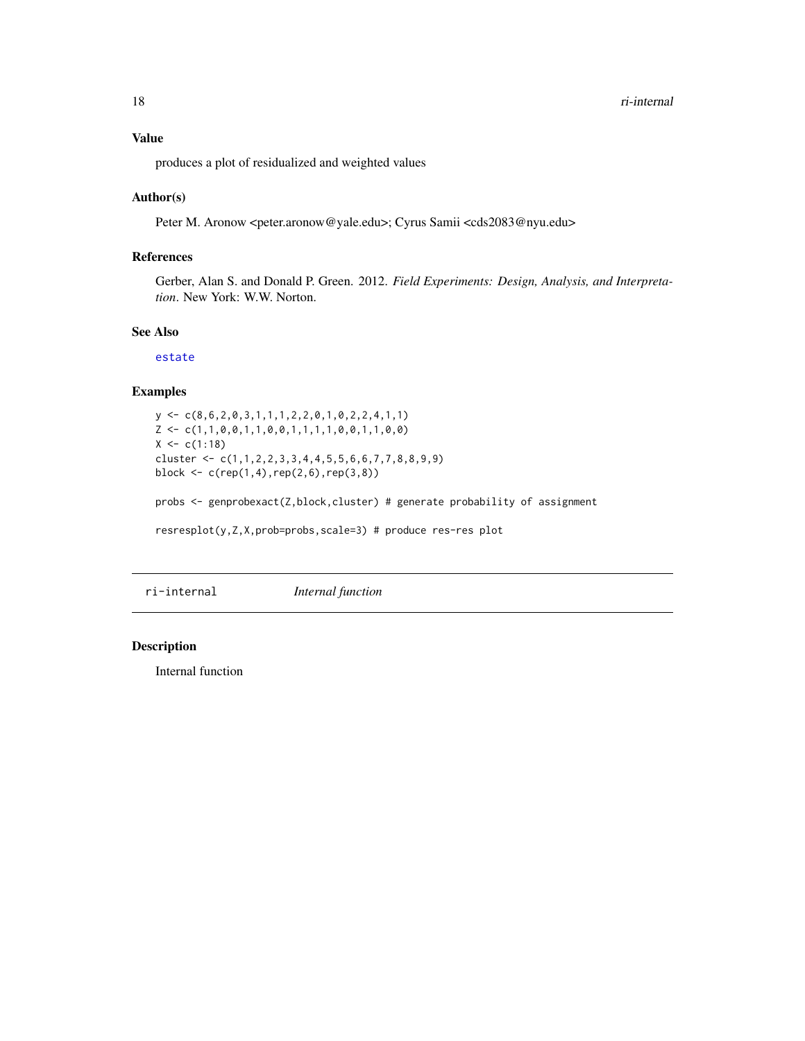<span id="page-17-0"></span>produces a plot of residualized and weighted values

#### Author(s)

Peter M. Aronow <peter.aronow@yale.edu>; Cyrus Samii <cds2083@nyu.edu>

# References

Gerber, Alan S. and Donald P. Green. 2012. *Field Experiments: Design, Analysis, and Interpretation*. New York: W.W. Norton.

# See Also

[estate](#page-3-1)

# Examples

```
y \leftarrow c(8, 6, 2, 0, 3, 1, 1, 1, 2, 2, 0, 1, 0, 2, 2, 4, 1, 1)Z \leftarrow c(1,1,0,0,1,1,0,0,1,1,1,1,0,0,1,1,0,0)X \leq -c(1:18)cluster <- c(1,1,2,2,3,3,4,4,5,5,6,6,7,7,8,8,9,9)
block <- c(rep(1,4),rep(2,6),rep(3,8))
```
probs <- genprobexact(Z,block,cluster) # generate probability of assignment

resresplot(y,Z,X,prob=probs,scale=3) # produce res-res plot

ri-internal *Internal function*

#### Description

Internal function